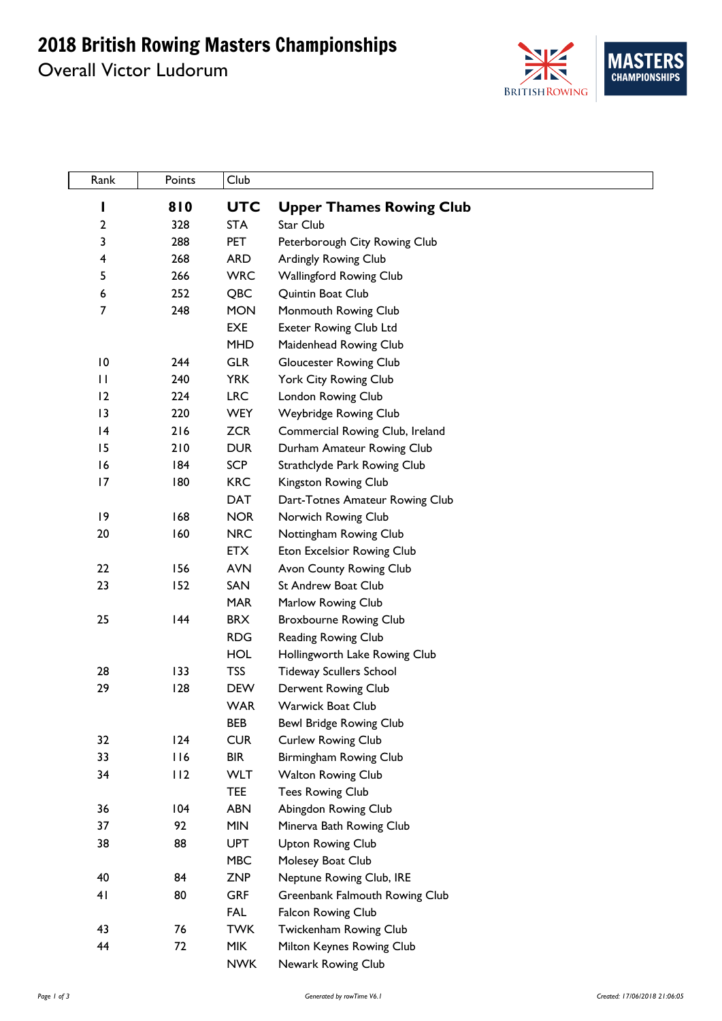## 2018 British Rowing Masters Championships

Overall Victor Ludorum



| Rank           | Points     | Club                     |                                                      |
|----------------|------------|--------------------------|------------------------------------------------------|
| I              | 810        | <b>UTC</b>               | <b>Upper Thames Rowing Club</b>                      |
| 2              | 328        | <b>STA</b>               | Star Club                                            |
| 3              | 288        | <b>PET</b>               | Peterborough City Rowing Club                        |
| 4              | 268        | <b>ARD</b>               | Ardingly Rowing Club                                 |
| 5              | 266        | <b>WRC</b>               | Wallingford Rowing Club                              |
| 6              | 252        | QBC                      | Quintin Boat Club                                    |
| $\overline{7}$ | 248        | <b>MON</b>               | Monmouth Rowing Club                                 |
|                |            | EXE                      | <b>Exeter Rowing Club Ltd</b>                        |
|                |            | <b>MHD</b>               | Maidenhead Rowing Club                               |
| 10             | 244        | <b>GLR</b>               | <b>Gloucester Rowing Club</b>                        |
| $\mathbf{H}$   | 240        | <b>YRK</b>               | York City Rowing Club                                |
| 12             | 224        | <b>LRC</b>               | London Rowing Club                                   |
| 3              | 220        | <b>WEY</b>               | Weybridge Rowing Club                                |
| 4              | 216        | <b>ZCR</b>               | Commercial Rowing Club, Ireland                      |
| 15             | 210        | <b>DUR</b>               | Durham Amateur Rowing Club                           |
| 16             | 184        | <b>SCP</b>               | Strathclyde Park Rowing Club                         |
| 17             | 180        | <b>KRC</b>               | Kingston Rowing Club                                 |
|                |            | <b>DAT</b>               | Dart-Totnes Amateur Rowing Club                      |
| 9              | 168        | <b>NOR</b>               | Norwich Rowing Club                                  |
| 20             | 160        | <b>NRC</b>               | Nottingham Rowing Club                               |
|                |            | <b>ETX</b>               | Eton Excelsior Rowing Club                           |
| 22             | 156        | <b>AVN</b>               | Avon County Rowing Club                              |
| 23             | 152        | SAN                      | <b>St Andrew Boat Club</b>                           |
|                |            | <b>MAR</b>               | Marlow Rowing Club                                   |
| 25             | 144        | <b>BRX</b>               | <b>Broxbourne Rowing Club</b>                        |
|                |            | <b>RDG</b>               | Reading Rowing Club                                  |
|                |            | <b>HOL</b>               | Hollingworth Lake Rowing Club                        |
| 28             | 133        | <b>TSS</b>               | <b>Tideway Scullers School</b>                       |
| 29             | 128        | <b>DEW</b>               | Derwent Rowing Club                                  |
|                |            | <b>WAR</b>               | Warwick Boat Club                                    |
|                |            | <b>BEB</b>               | Bewl Bridge Rowing Club                              |
| 32             | 124        | <b>CUR</b>               | Curlew Rowing Club                                   |
| 33             | 116<br>112 | <b>BIR</b><br><b>WLT</b> | Birmingham Rowing Club                               |
| 34             |            | <b>TEE</b>               | <b>Walton Rowing Club</b><br><b>Tees Rowing Club</b> |
| 36             | 104        | <b>ABN</b>               | Abingdon Rowing Club                                 |
| 37             | 92         | <b>MIN</b>               | Minerva Bath Rowing Club                             |
| 38             | 88         | <b>UPT</b>               | <b>Upton Rowing Club</b>                             |
|                |            | <b>MBC</b>               | Molesey Boat Club                                    |
| 40             | 84         | <b>ZNP</b>               | Neptune Rowing Club, IRE                             |
| 41             | 80         | <b>GRF</b>               | Greenbank Falmouth Rowing Club                       |
|                |            | <b>FAL</b>               | Falcon Rowing Club                                   |
| 43             | 76         | <b>TWK</b>               | Twickenham Rowing Club                               |
| 44             | 72         | <b>MIK</b>               | Milton Keynes Rowing Club                            |
|                |            | <b>NWK</b>               | Newark Rowing Club                                   |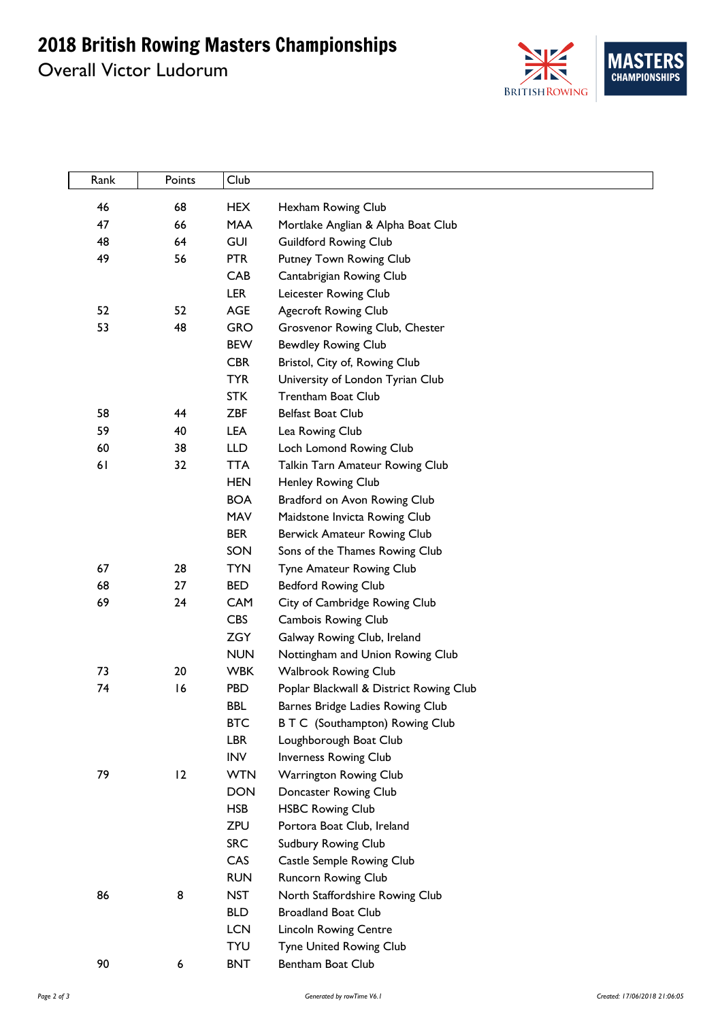## 2018 British Rowing Masters Championships

Overall Victor Ludorum



| Rank | Points | Club                     |                                                       |
|------|--------|--------------------------|-------------------------------------------------------|
| 46   | 68     | <b>HEX</b>               | Hexham Rowing Club                                    |
| 47   | 66     | <b>MAA</b>               | Mortlake Anglian & Alpha Boat Club                    |
| 48   | 64     | <b>GUI</b>               | <b>Guildford Rowing Club</b>                          |
| 49   | 56     | <b>PTR</b>               | Putney Town Rowing Club                               |
|      |        | CAB                      | Cantabrigian Rowing Club                              |
|      |        | <b>LER</b>               | Leicester Rowing Club                                 |
| 52   | 52     | <b>AGE</b>               | <b>Agecroft Rowing Club</b>                           |
| 53   | 48     | <b>GRO</b>               | Grosvenor Rowing Club, Chester                        |
|      |        | <b>BEW</b>               | <b>Bewdley Rowing Club</b>                            |
|      |        | <b>CBR</b>               | Bristol, City of, Rowing Club                         |
|      |        | <b>TYR</b>               | University of London Tyrian Club                      |
|      |        | <b>STK</b>               | <b>Trentham Boat Club</b>                             |
| 58   | 44     | <b>ZBF</b>               | <b>Belfast Boat Club</b>                              |
| 59   | 40     | LEA                      | Lea Rowing Club                                       |
| 60   | 38     | <b>LLD</b>               | Loch Lomond Rowing Club                               |
| 61   | 32     | <b>TTA</b>               | Talkin Tarn Amateur Rowing Club                       |
|      |        | <b>HEN</b>               | Henley Rowing Club                                    |
|      |        | <b>BOA</b>               | Bradford on Avon Rowing Club                          |
|      |        | MAV                      | Maidstone Invicta Rowing Club                         |
|      |        | <b>BER</b>               | Berwick Amateur Rowing Club                           |
|      |        | SON                      | Sons of the Thames Rowing Club                        |
| 67   | 28     | <b>TYN</b>               | Tyne Amateur Rowing Club                              |
| 68   | 27     | <b>BED</b>               | <b>Bedford Rowing Club</b>                            |
| 69   | 24     | <b>CAM</b>               | City of Cambridge Rowing Club                         |
|      |        | <b>CBS</b>               | Cambois Rowing Club                                   |
|      |        | <b>ZGY</b>               | Galway Rowing Club, Ireland                           |
|      |        | <b>NUN</b>               | Nottingham and Union Rowing Club                      |
| 73   | 20     | <b>WBK</b>               | <b>Walbrook Rowing Club</b>                           |
| 74   | 16     | <b>PBD</b>               | Poplar Blackwall & District Rowing Club               |
|      |        | <b>BBL</b>               | Barnes Bridge Ladies Rowing Club                      |
|      |        | <b>BTC</b>               | B T C (Southampton) Rowing Club                       |
|      |        | <b>LBR</b>               | Loughborough Boat Club                                |
|      |        | <b>INV</b>               | Inverness Rowing Club                                 |
| 79   | 12     | <b>WTN</b>               | Warrington Rowing Club                                |
|      |        | <b>DON</b><br><b>HSB</b> | Doncaster Rowing Club                                 |
|      |        | <b>ZPU</b>               | <b>HSBC Rowing Club</b><br>Portora Boat Club, Ireland |
|      |        | <b>SRC</b>               | Sudbury Rowing Club                                   |
|      |        | CAS                      | Castle Semple Rowing Club                             |
|      |        | <b>RUN</b>               | Runcorn Rowing Club                                   |
| 86   | 8      | <b>NST</b>               | North Staffordshire Rowing Club                       |
|      |        | <b>BLD</b>               | <b>Broadland Boat Club</b>                            |
|      |        | <b>LCN</b>               | <b>Lincoln Rowing Centre</b>                          |
|      |        | <b>TYU</b>               | Tyne United Rowing Club                               |
| 90   | 6      | <b>BNT</b>               | Bentham Boat Club                                     |
|      |        |                          |                                                       |